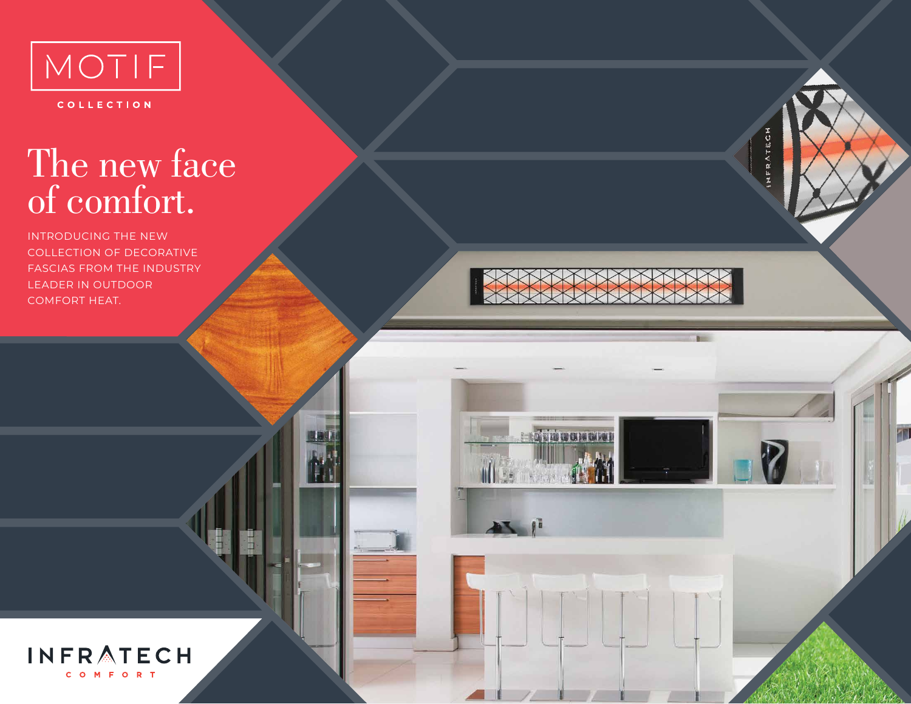

COLLECTION

## The new face of comfort.

INTRODUCING THE NEW COLLECTION OF DECORATIVE FASCIAS FROM THE INDUSTRY LEADER IN OUTDOOR COMFORT HEAT.



**A distinguished a** 

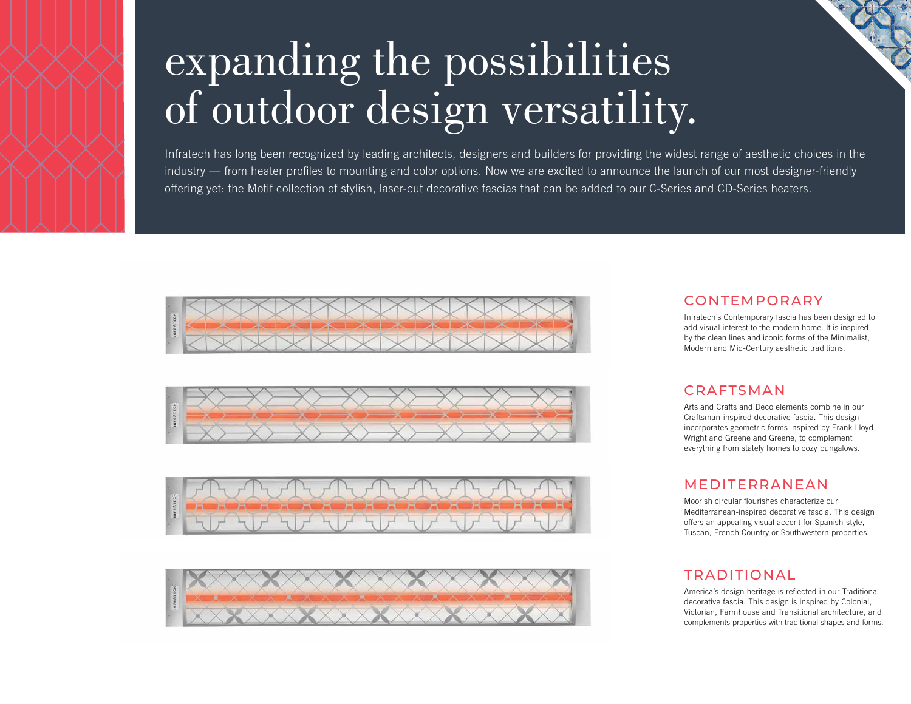

# expanding the possibilities of outdoor design versatility.

Infratech has long been recognized by leading architects, designers and builders for providing the widest range of aesthetic choices in the industry — from heater profiles to mounting and color options. Now we are excited to announce the launch of our most designer-friendly offering yet: the Motif collection of stylish, laser-cut decorative fascias that can be added to our C-Series and CD-Series heaters.









#### CONTEMPORARY

Infratech's Contemporary fascia has been designed to add visual interest to the modern home. It is inspired by the clean lines and iconic forms of the Minimalist, Modern and Mid-Century aesthetic traditions.

#### CRAFTSMAN

Arts and Crafts and Deco elements combine in our Craftsman-inspired decorative fascia. This design incorporates geometric forms inspired by Frank Lloyd Wright and Greene and Greene, to complement everything from stately homes to cozy bungalows.

#### MEDITERRANEAN

Moorish circular flourishes characterize our Mediterranean-inspired decorative fascia. This design offers an appealing visual accent for Spanish-style, Tuscan, French Country or Southwestern properties.

#### TRADITIONAL

America's design heritage is reflected in our Traditional decorative fascia. This design is inspired by Colonial, Victorian, Farmhouse and Transitional architecture, and complements properties with traditional shapes and forms.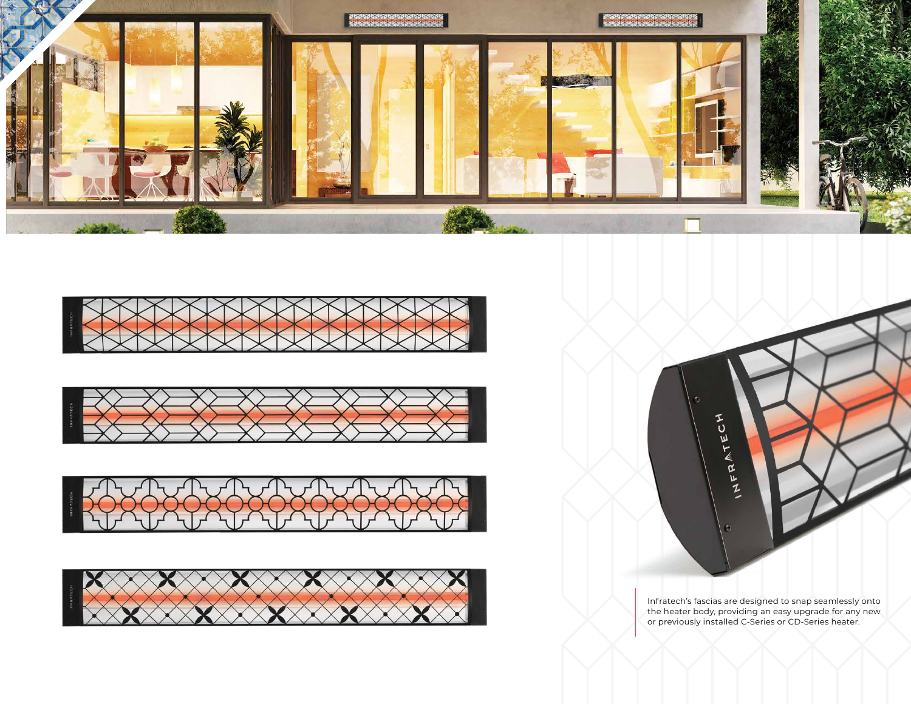











Infratech's fascias are designed to snap seamlessly onto the heater body, providing an easy upgrade for any new or previously installed C-Series or CD-Series heater.